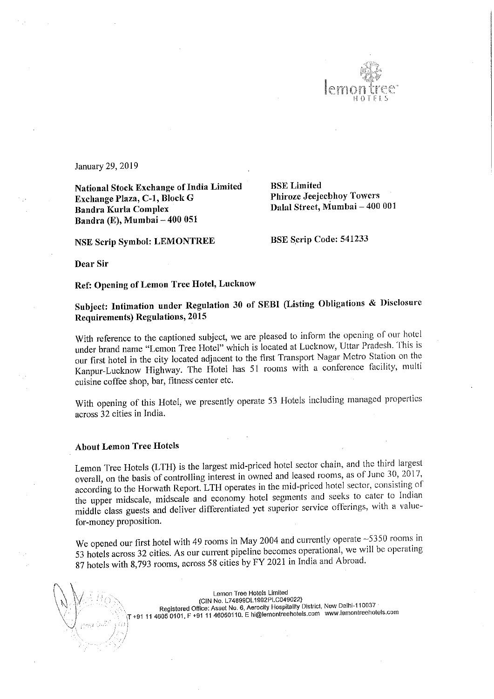

January 29, 2019

National Stock Exchange of India Limited<br>Exchange Plaza, C.1, Block G. Phiroze Jeejeebhoy Towers Exchange Plaza, C-1, Block G Bandra Kurla Complex Bandra (E), Mumbai – 400 051

NSE Scrip Symbol: LEMONTREE BSE Scrip Code: 541233

Dalal Street, Mumbai - 400 001

Dear Sir

Ref: Opening of Lemon Tree Hotel, Lucknow

Subject: Intimation under Regulation <sup>30</sup> of SEBI (Listing Obligations & Disclosure Requirements) Regulations, <sup>2015</sup>

With reference to the captioned subject, we are pleased to inform the opening of our hotel under brand name "Lemon Tree Hotel" which is located at Lucknow, Uttar Pradesh. This is our first hotel in the city located adjacent to the first Transport Nagar Metro Station on the Kanpur—Lucknow Highway. The Hotel has <sup>51</sup> rooms with <sup>a</sup> conference facility, multi cuisine coffee shop, bar, fitness center etc.

With opening of this Hotel, we presently operate 53 Hotels including managed properties across 32 cities in India.

## About Lemon Tree Hotels

 $\mathbb N$ 

 $, \, \beta$  ,  $\mathcal{S}$  ,

'

Lemon Tree Hotels (LTH) is the largest mid-priced hotel sector chain, and the third largest overall, on the basis of controlling interest in owned and leased rooms, as of June 30, 2017, according to the Horwath Report. LTH operates in the mid—priced hotel sector, consisting of' the upper midscale, midscale and economy hotel segments and seeks to cater to Indian middle class guests and deliver differentiated yet superior service offerings, with <sup>a</sup> value» for-money proposition.

We opened our first hotel with 49 rooms in May 2004 and currently operate ~5350 rooms in <sup>53</sup> hotels across <sup>32</sup> cities. As our current pipeline becomes operational, we will be operating <sup>87</sup> hotels with 8,793 rooms, across <sup>58</sup> cities by FY <sup>2021</sup> in India and Abroad.

Lemon Tree Hotels Limited<br>(CIN No. L74899DL1992PLC049022)

CIN No. L74899DL1992PLC049022))<br>Registered Office: Asset No. 6, Aerocity Hospitality District, New Delhi-110037<br>Registered Office: Asset No. 6, Aerocity nearbotalistics com

\T +91 <sup>11</sup> <sup>4605</sup> 0101, <sup>F</sup> +91 <sup>11</sup> 46050110. <sup>E</sup> hi@lemontreehoteis.com www.iemontreehote|5.com